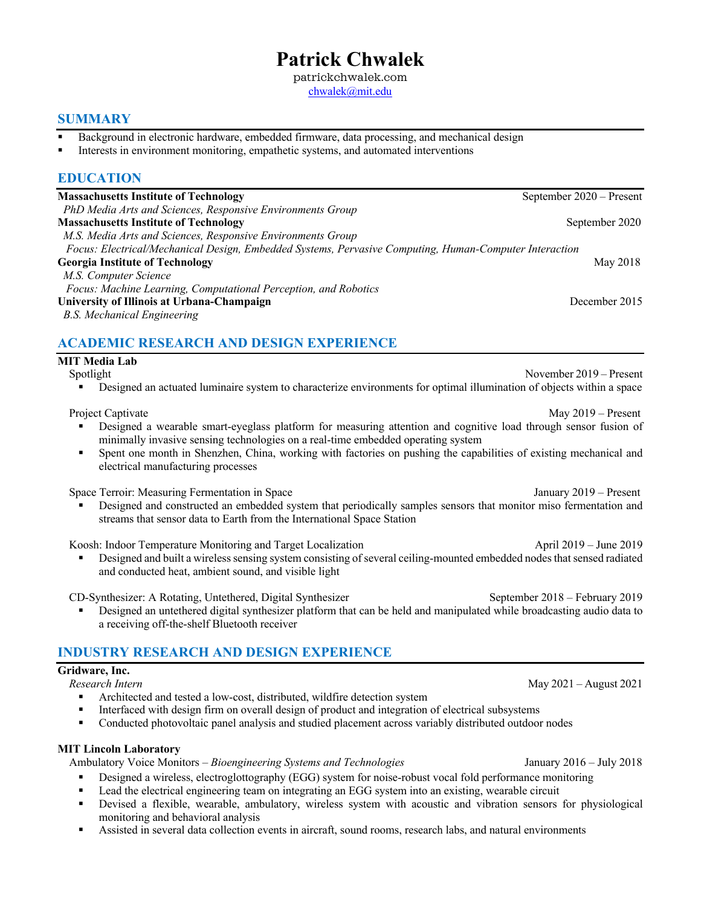# **Patrick Chwalek**

patrickchwalek.com chwalek@mit.edu

### **SUMMARY**

- Background in electronic hardware, embedded firmware, data processing, and mechanical design
- Interests in environment monitoring, empathetic systems, and automated interventions

### **EDUCATION**

| <b>Massachusetts Institute of Technology</b>                                                           | September 2020 – Present |
|--------------------------------------------------------------------------------------------------------|--------------------------|
| PhD Media Arts and Sciences, Responsive Environments Group                                             |                          |
| <b>Massachusetts Institute of Technology</b>                                                           | September 2020           |
| M.S. Media Arts and Sciences, Responsive Environments Group                                            |                          |
| Focus: Electrical/Mechanical Design, Embedded Systems, Pervasive Computing, Human-Computer Interaction |                          |
| <b>Georgia Institute of Technology</b>                                                                 | May 2018                 |
| M.S. Computer Science                                                                                  |                          |
| Focus: Machine Learning, Computational Perception, and Robotics                                        |                          |
| University of Illinois at Urbana-Champaign                                                             | December 2015            |
| B.S. Mechanical Engineering                                                                            |                          |
|                                                                                                        |                          |

### **ACADEMIC RESEARCH AND DESIGN EXPERIENCE**

### **MIT Media Lab**

- Spotlight November 2019 *–* Present
	- Designed an actuated luminaire system to characterize environments for optimal illumination of objects within a space

Project Captivate May 2019 *–* Present

- § Designed a wearable smart-eyeglass platform for measuring attention and cognitive load through sensor fusion of minimally invasive sensing technologies on a real-time embedded operating system
- Spent one month in Shenzhen, China, working with factories on pushing the capabilities of existing mechanical and electrical manufacturing processes

Space Terroir: Measuring Fermentation in Space January 2019 *–* Present

Designed and constructed an embedded system that periodically samples sensors that monitor miso fermentation and streams that sensor data to Earth from the International Space Station

Koosh: Indoor Temperature Monitoring and Target Localization **April 2019** – June 2019

§ Designed and built a wireless sensing system consisting of several ceiling-mounted embedded nodes that sensed radiated and conducted heat, ambient sound, and visible light

CD-Synthesizer: A Rotating, Untethered, Digital Synthesizer September 2018 – February 2019

Designed an untethered digital synthesizer platform that can be held and manipulated while broadcasting audio data to a receiving off-the-shelf Bluetooth receiver

### **INDUSTRY RESEARCH AND DESIGN EXPERIENCE**

### **Gridware, Inc.**

*Research Intern*May 2021 – August 2021

- § Architected and tested a low-cost, distributed, wildfire detection system
- **•** Interfaced with design firm on overall design of product and integration of electrical subsystems
- Conducted photovoltaic panel analysis and studied placement across variably distributed outdoor nodes

### **MIT Lincoln Laboratory**

Ambulatory Voice Monitors *– Bioengineering Systems and Technologies*January 2016 *–* July 2018

- Designed a wireless, electroglottography (EGG) system for noise-robust vocal fold performance monitoring
- Lead the electrical engineering team on integrating an EGG system into an existing, wearable circuit
- § Devised a flexible, wearable, ambulatory, wireless system with acoustic and vibration sensors for physiological monitoring and behavioral analysis
- Assisted in several data collection events in aircraft, sound rooms, research labs, and natural environments